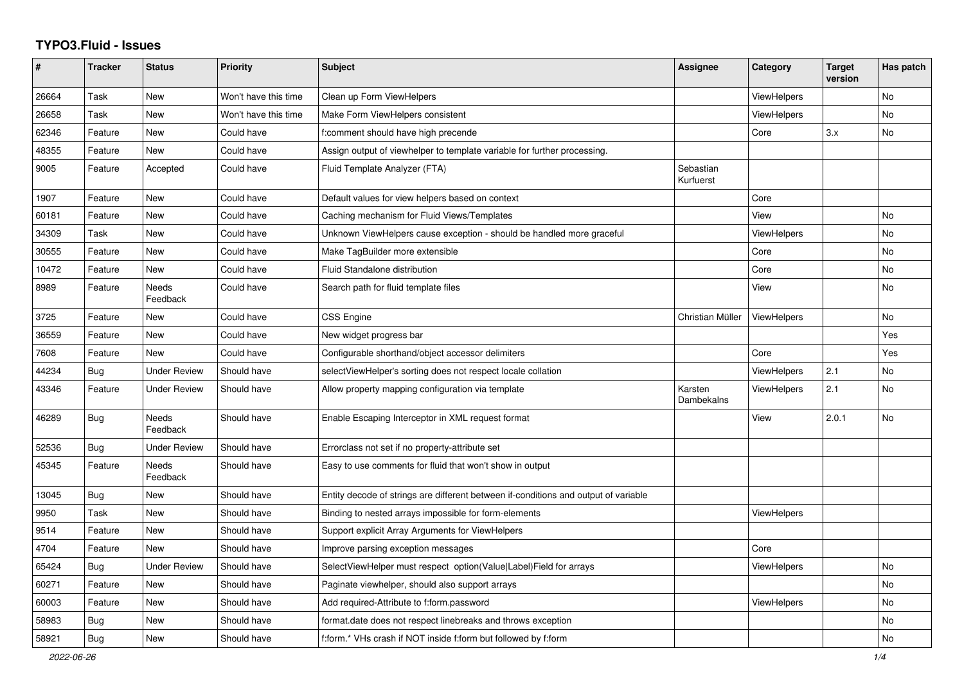## **TYPO3.Fluid - Issues**

| #     | <b>Tracker</b> | <b>Status</b>       | <b>Priority</b>      | <b>Subject</b>                                                                      | Assignee               | Category           | <b>Target</b><br>version | Has patch |
|-------|----------------|---------------------|----------------------|-------------------------------------------------------------------------------------|------------------------|--------------------|--------------------------|-----------|
| 26664 | Task           | New                 | Won't have this time | Clean up Form ViewHelpers                                                           |                        | ViewHelpers        |                          | No        |
| 26658 | Task           | New                 | Won't have this time | Make Form ViewHelpers consistent                                                    |                        | ViewHelpers        |                          | <b>No</b> |
| 62346 | Feature        | New                 | Could have           | f:comment should have high precende                                                 |                        | Core               | 3.x                      | No        |
| 48355 | Feature        | <b>New</b>          | Could have           | Assign output of viewhelper to template variable for further processing.            |                        |                    |                          |           |
| 9005  | Feature        | Accepted            | Could have           | Fluid Template Analyzer (FTA)                                                       | Sebastian<br>Kurfuerst |                    |                          |           |
| 1907  | Feature        | New                 | Could have           | Default values for view helpers based on context                                    |                        | Core               |                          |           |
| 60181 | Feature        | New                 | Could have           | Caching mechanism for Fluid Views/Templates                                         |                        | View               |                          | No        |
| 34309 | Task           | <b>New</b>          | Could have           | Unknown ViewHelpers cause exception - should be handled more graceful               |                        | <b>ViewHelpers</b> |                          | <b>No</b> |
| 30555 | Feature        | <b>New</b>          | Could have           | Make TagBuilder more extensible                                                     |                        | Core               |                          | <b>No</b> |
| 10472 | Feature        | New                 | Could have           | Fluid Standalone distribution                                                       |                        | Core               |                          | No        |
| 8989  | Feature        | Needs<br>Feedback   | Could have           | Search path for fluid template files                                                |                        | View               |                          | <b>No</b> |
| 3725  | Feature        | New                 | Could have           | <b>CSS Engine</b>                                                                   | Christian Müller       | ViewHelpers        |                          | No        |
| 36559 | Feature        | New                 | Could have           | New widget progress bar                                                             |                        |                    |                          | Yes       |
| 7608  | Feature        | <b>New</b>          | Could have           | Configurable shorthand/object accessor delimiters                                   |                        | Core               |                          | Yes       |
| 44234 | Bug            | <b>Under Review</b> | Should have          | selectViewHelper's sorting does not respect locale collation                        |                        | ViewHelpers        | 2.1                      | No        |
| 43346 | Feature        | Under Review        | Should have          | Allow property mapping configuration via template                                   | Karsten<br>Dambekalns  | ViewHelpers        | 2.1                      | No        |
| 46289 | Bug            | Needs<br>Feedback   | Should have          | Enable Escaping Interceptor in XML request format                                   |                        | View               | 2.0.1                    | No        |
| 52536 | <b>Bug</b>     | Under Review        | Should have          | Errorclass not set if no property-attribute set                                     |                        |                    |                          |           |
| 45345 | Feature        | Needs<br>Feedback   | Should have          | Easy to use comments for fluid that won't show in output                            |                        |                    |                          |           |
| 13045 | <b>Bug</b>     | <b>New</b>          | Should have          | Entity decode of strings are different between if-conditions and output of variable |                        |                    |                          |           |
| 9950  | Task           | <b>New</b>          | Should have          | Binding to nested arrays impossible for form-elements                               |                        | <b>ViewHelpers</b> |                          |           |
| 9514  | Feature        | New                 | Should have          | Support explicit Array Arguments for ViewHelpers                                    |                        |                    |                          |           |
| 4704  | Feature        | New                 | Should have          | Improve parsing exception messages                                                  |                        | Core               |                          |           |
| 65424 | Bug            | <b>Under Review</b> | Should have          | SelectViewHelper must respect option(Value Label)Field for arrays                   |                        | ViewHelpers        |                          | <b>No</b> |
| 60271 | Feature        | New                 | Should have          | Paginate viewhelper, should also support arrays                                     |                        |                    |                          | No        |
| 60003 | Feature        | New                 | Should have          | Add required-Attribute to f:form.password                                           |                        | ViewHelpers        |                          | No        |
| 58983 | <b>Bug</b>     | New                 | Should have          | format.date does not respect linebreaks and throws exception                        |                        |                    |                          | No        |
| 58921 | Bug            | <b>New</b>          | Should have          | f:form.* VHs crash if NOT inside f:form but followed by f:form                      |                        |                    |                          | <b>No</b> |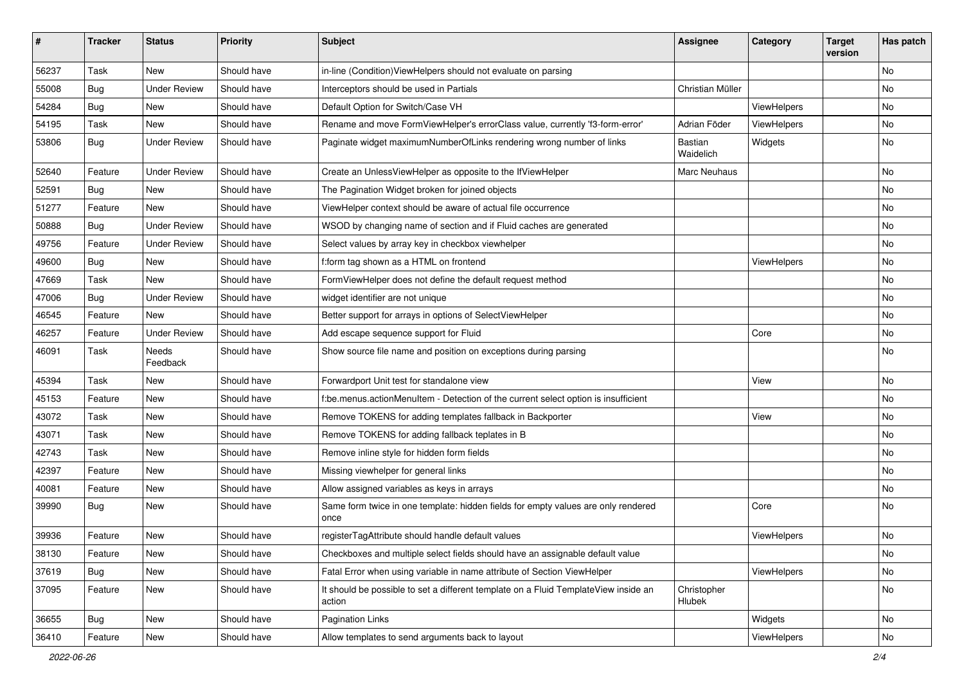| ∦     | <b>Tracker</b> | <b>Status</b>            | <b>Priority</b> | <b>Subject</b>                                                                                | <b>Assignee</b>       | Category    | <b>Target</b><br>version | Has patch |
|-------|----------------|--------------------------|-----------------|-----------------------------------------------------------------------------------------------|-----------------------|-------------|--------------------------|-----------|
| 56237 | Task           | <b>New</b>               | Should have     | in-line (Condition) ViewHelpers should not evaluate on parsing                                |                       |             |                          | No        |
| 55008 | <b>Bug</b>     | <b>Under Review</b>      | Should have     | Interceptors should be used in Partials                                                       | Christian Müller      |             |                          | No        |
| 54284 | <b>Bug</b>     | New                      | Should have     | Default Option for Switch/Case VH                                                             |                       | ViewHelpers |                          | No        |
| 54195 | Task           | <b>New</b>               | Should have     | Rename and move FormViewHelper's errorClass value, currently 'f3-form-error'                  | Adrian Föder          | ViewHelpers |                          | No        |
| 53806 | <b>Bug</b>     | <b>Under Review</b>      | Should have     | Paginate widget maximumNumberOfLinks rendering wrong number of links                          | Bastian<br>Waidelich  | Widgets     |                          | No        |
| 52640 | Feature        | <b>Under Review</b>      | Should have     | Create an UnlessViewHelper as opposite to the IfViewHelper                                    | Marc Neuhaus          |             |                          | No        |
| 52591 | Bug            | <b>New</b>               | Should have     | The Pagination Widget broken for joined objects                                               |                       |             |                          | No        |
| 51277 | Feature        | <b>New</b>               | Should have     | ViewHelper context should be aware of actual file occurrence                                  |                       |             |                          | No        |
| 50888 | Bug            | <b>Under Review</b>      | Should have     | WSOD by changing name of section and if Fluid caches are generated                            |                       |             |                          | No        |
| 49756 | Feature        | <b>Under Review</b>      | Should have     | Select values by array key in checkbox viewhelper                                             |                       |             |                          | No.       |
| 49600 | Bug            | New                      | Should have     | f:form tag shown as a HTML on frontend                                                        |                       | ViewHelpers |                          | No        |
| 47669 | Task           | New                      | Should have     | FormViewHelper does not define the default request method                                     |                       |             |                          | No        |
| 47006 | Bug            | <b>Under Review</b>      | Should have     | widget identifier are not unique                                                              |                       |             |                          | No        |
| 46545 | Feature        | New                      | Should have     | Better support for arrays in options of SelectViewHelper                                      |                       |             |                          | No        |
| 46257 | Feature        | <b>Under Review</b>      | Should have     | Add escape sequence support for Fluid                                                         |                       | Core        |                          | No        |
| 46091 | Task           | <b>Needs</b><br>Feedback | Should have     | Show source file name and position on exceptions during parsing                               |                       |             |                          | No        |
| 45394 | Task           | <b>New</b>               | Should have     | Forwardport Unit test for standalone view                                                     |                       | View        |                          | No        |
| 45153 | Feature        | New                      | Should have     | f:be.menus.actionMenuItem - Detection of the current select option is insufficient            |                       |             |                          | No        |
| 43072 | Task           | New                      | Should have     | Remove TOKENS for adding templates fallback in Backporter                                     |                       | View        |                          | No.       |
| 43071 | Task           | New                      | Should have     | Remove TOKENS for adding fallback teplates in B                                               |                       |             |                          | No        |
| 42743 | Task           | New                      | Should have     | Remove inline style for hidden form fields                                                    |                       |             |                          | No        |
| 42397 | Feature        | New                      | Should have     | Missing viewhelper for general links                                                          |                       |             |                          | No        |
| 40081 | Feature        | New                      | Should have     | Allow assigned variables as keys in arrays                                                    |                       |             |                          | No        |
| 39990 | <b>Bug</b>     | New                      | Should have     | Same form twice in one template: hidden fields for empty values are only rendered<br>once     |                       | Core        |                          | No        |
| 39936 | Feature        | New                      | Should have     | registerTagAttribute should handle default values                                             |                       | ViewHelpers |                          | No        |
| 38130 | Feature        | New                      | Should have     | Checkboxes and multiple select fields should have an assignable default value                 |                       |             |                          | No        |
| 37619 | <b>Bug</b>     | New                      | Should have     | Fatal Error when using variable in name attribute of Section ViewHelper                       |                       | ViewHelpers |                          | No        |
| 37095 | Feature        | New                      | Should have     | It should be possible to set a different template on a Fluid TemplateView inside an<br>action | Christopher<br>Hlubek |             |                          | No        |
| 36655 | Bug            | New                      | Should have     | Pagination Links                                                                              |                       | Widgets     |                          | No        |
| 36410 | Feature        | New                      | Should have     | Allow templates to send arguments back to layout                                              |                       | ViewHelpers |                          | No        |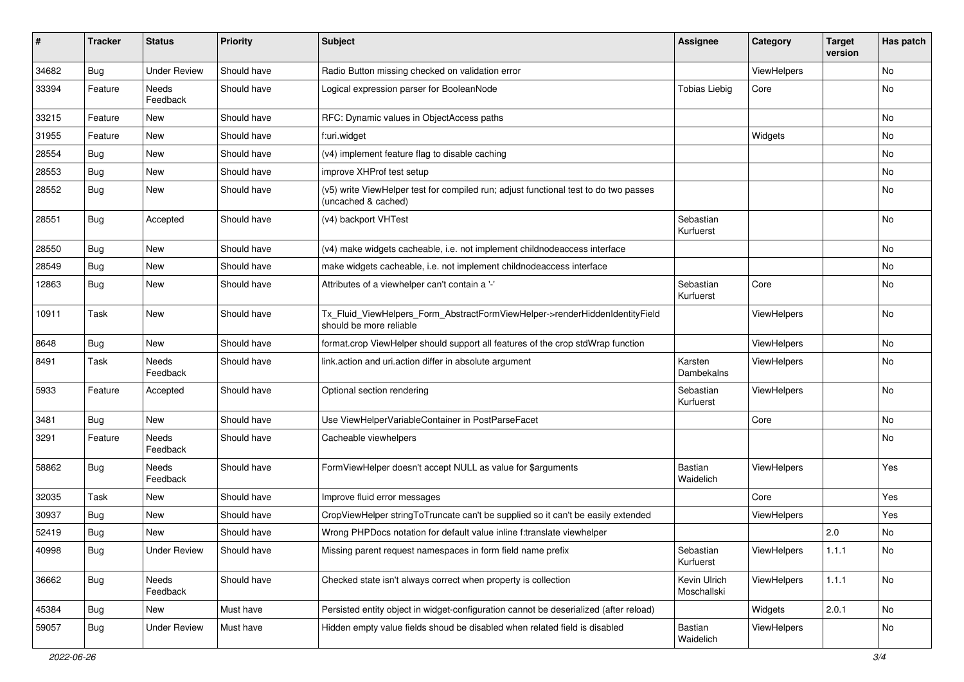| #     | <b>Tracker</b> | <b>Status</b>       | <b>Priority</b> | Subject                                                                                                     | <b>Assignee</b>             | Category    | <b>Target</b><br>version | Has patch |
|-------|----------------|---------------------|-----------------|-------------------------------------------------------------------------------------------------------------|-----------------------------|-------------|--------------------------|-----------|
| 34682 | Bug            | <b>Under Review</b> | Should have     | Radio Button missing checked on validation error                                                            |                             | ViewHelpers |                          | No        |
| 33394 | Feature        | Needs<br>Feedback   | Should have     | Logical expression parser for BooleanNode                                                                   | <b>Tobias Liebig</b>        | Core        |                          | No        |
| 33215 | Feature        | New                 | Should have     | RFC: Dynamic values in ObjectAccess paths                                                                   |                             |             |                          | <b>No</b> |
| 31955 | Feature        | New                 | Should have     | f:uri.widget                                                                                                |                             | Widgets     |                          | No        |
| 28554 | Bug            | <b>New</b>          | Should have     | (v4) implement feature flag to disable caching                                                              |                             |             |                          | No        |
| 28553 | Bug            | New                 | Should have     | improve XHProf test setup                                                                                   |                             |             |                          | No        |
| 28552 | Bug            | New                 | Should have     | (v5) write ViewHelper test for compiled run; adjust functional test to do two passes<br>(uncached & cached) |                             |             |                          | No        |
| 28551 | Bug            | Accepted            | Should have     | (v4) backport VHTest                                                                                        | Sebastian<br>Kurfuerst      |             |                          | No        |
| 28550 | Bug            | New                 | Should have     | (v4) make widgets cacheable, i.e. not implement childnodeaccess interface                                   |                             |             |                          | <b>No</b> |
| 28549 | Bug            | New                 | Should have     | make widgets cacheable, i.e. not implement childnodeaccess interface                                        |                             |             |                          | No        |
| 12863 | Bug            | New                 | Should have     | Attributes of a viewhelper can't contain a '-'                                                              | Sebastian<br>Kurfuerst      | Core        |                          | No        |
| 10911 | Task           | New                 | Should have     | Tx_Fluid_ViewHelpers_Form_AbstractFormViewHelper->renderHiddenIdentityField<br>should be more reliable      |                             | ViewHelpers |                          | <b>No</b> |
| 8648  | Bug            | New                 | Should have     | format.crop ViewHelper should support all features of the crop stdWrap function                             |                             | ViewHelpers |                          | No        |
| 8491  | Task           | Needs<br>Feedback   | Should have     | link.action and uri.action differ in absolute argument                                                      | Karsten<br>Dambekalns       | ViewHelpers |                          | No        |
| 5933  | Feature        | Accepted            | Should have     | Optional section rendering                                                                                  | Sebastian<br>Kurfuerst      | ViewHelpers |                          | No        |
| 3481  | Bug            | <b>New</b>          | Should have     | Use ViewHelperVariableContainer in PostParseFacet                                                           |                             | Core        |                          | <b>No</b> |
| 3291  | Feature        | Needs<br>Feedback   | Should have     | Cacheable viewhelpers                                                                                       |                             |             |                          | No        |
| 58862 | Bug            | Needs<br>Feedback   | Should have     | FormViewHelper doesn't accept NULL as value for \$arguments                                                 | <b>Bastian</b><br>Waidelich | ViewHelpers |                          | Yes       |
| 32035 | Task           | New                 | Should have     | Improve fluid error messages                                                                                |                             | Core        |                          | Yes       |
| 30937 | <b>Bug</b>     | New                 | Should have     | CropViewHelper stringToTruncate can't be supplied so it can't be easily extended                            |                             | ViewHelpers |                          | Yes       |
| 52419 | Bug            | New                 | Should have     | Wrong PHPDocs notation for default value inline f:translate viewhelper                                      |                             |             | 2.0                      | No        |
| 40998 | <b>Bug</b>     | <b>Under Review</b> | Should have     | Missing parent request namespaces in form field name prefix                                                 | Sebastian<br>Kurfuerst      | ViewHelpers | 1.1.1                    | No        |
| 36662 | <b>Bug</b>     | Needs<br>Feedback   | Should have     | Checked state isn't always correct when property is collection                                              | Kevin Ulrich<br>Moschallski | ViewHelpers | 1.1.1                    | No        |
| 45384 | Bug            | New                 | Must have       | Persisted entity object in widget-configuration cannot be deserialized (after reload)                       |                             | Widgets     | 2.0.1                    | No        |
| 59057 | <b>Bug</b>     | <b>Under Review</b> | Must have       | Hidden empty value fields shoud be disabled when related field is disabled                                  | Bastian<br>Waidelich        | ViewHelpers |                          | No        |